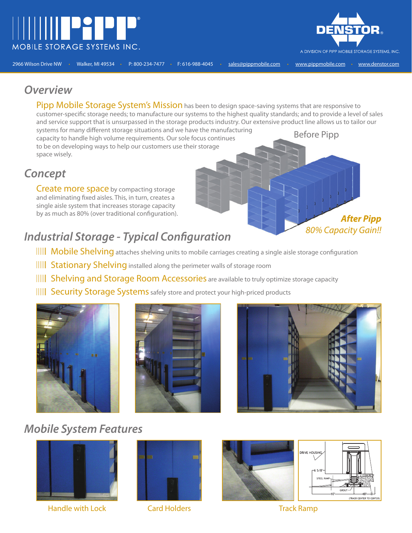



*After Pipp*

80% Capacity Gain!!

#### *Overview*

Before Pipp Pipp Mobile Storage System's Mission has been to design space-saving systems that are responsive to customer-specific storage needs; to manufacture our systems to the highest quality standards; and to provide a level of sales and service support that is unsurpassed in the storage products industry. Our extensive product line allows us to tailor our systems for many different storage situations and we have the manufacturing capacity to handle high volume requirements. Our sole focus continues

to be on developing ways to help our customers use their storage space wisely.

# *Concept*

Create more space by compacting storage and eliminating fixed aisles. This, in turn, creates a single aisle system that increases storage capacity by as much as 80% (over traditional configuration).

# **Industrial Storage - Typical Configuration**

- IIIII Mobile Shelving attaches shelving units to mobile carriages creating a single aisle storage configuration
- **IIII** Stationary Shelving installed along the perimeter walls of storage room
- ||||||| Shelving and Storage Room Accessories are available to truly optimize storage capacity
- IIII Security Storage Systems safely store and protect your high-priced products







### *Mobile System Features*



Handle with Lock



Card Holders **Track Ramp**